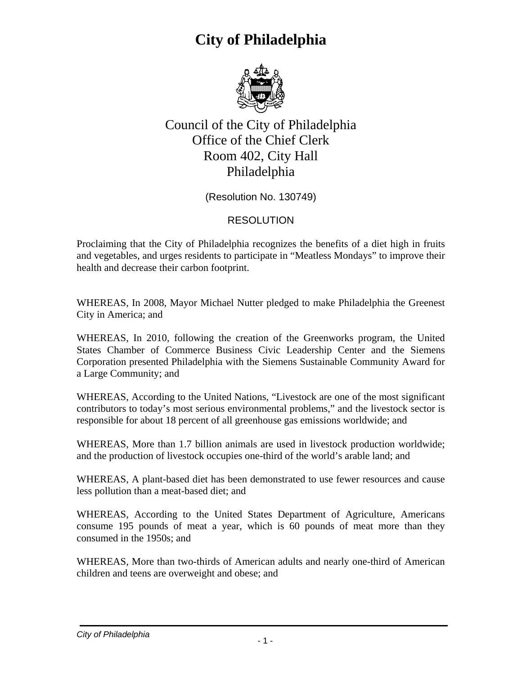

Council of the City of Philadelphia Office of the Chief Clerk Room 402, City Hall Philadelphia

(Resolution No. 130749)

#### RESOLUTION

Proclaiming that the City of Philadelphia recognizes the benefits of a diet high in fruits and vegetables, and urges residents to participate in "Meatless Mondays" to improve their health and decrease their carbon footprint.

WHEREAS, In 2008, Mayor Michael Nutter pledged to make Philadelphia the Greenest City in America; and

WHEREAS, In 2010, following the creation of the Greenworks program, the United States Chamber of Commerce Business Civic Leadership Center and the Siemens Corporation presented Philadelphia with the Siemens Sustainable Community Award for a Large Community; and

WHEREAS, According to the United Nations, "Livestock are one of the most significant contributors to today's most serious environmental problems," and the livestock sector is responsible for about 18 percent of all greenhouse gas emissions worldwide; and

WHEREAS, More than 1.7 billion animals are used in livestock production worldwide; and the production of livestock occupies one-third of the world's arable land; and

WHEREAS, A plant-based diet has been demonstrated to use fewer resources and cause less pollution than a meat-based diet; and

WHEREAS, According to the United States Department of Agriculture, Americans consume 195 pounds of meat a year, which is 60 pounds of meat more than they consumed in the 1950s; and

WHEREAS, More than two-thirds of American adults and nearly one-third of American children and teens are overweight and obese; and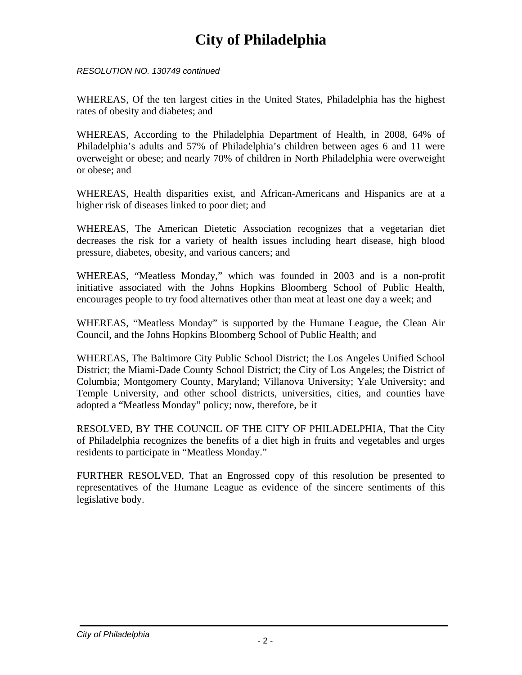*RESOLUTION NO. 130749 continued* 

WHEREAS, Of the ten largest cities in the United States, Philadelphia has the highest rates of obesity and diabetes; and

WHEREAS, According to the Philadelphia Department of Health, in 2008, 64% of Philadelphia's adults and 57% of Philadelphia's children between ages 6 and 11 were overweight or obese; and nearly 70% of children in North Philadelphia were overweight or obese; and

WHEREAS, Health disparities exist, and African-Americans and Hispanics are at a higher risk of diseases linked to poor diet; and

WHEREAS, The American Dietetic Association recognizes that a vegetarian diet decreases the risk for a variety of health issues including heart disease, high blood pressure, diabetes, obesity, and various cancers; and

WHEREAS, "Meatless Monday," which was founded in 2003 and is a non-profit initiative associated with the Johns Hopkins Bloomberg School of Public Health, encourages people to try food alternatives other than meat at least one day a week; and

WHEREAS, "Meatless Monday" is supported by the Humane League, the Clean Air Council, and the Johns Hopkins Bloomberg School of Public Health; and

WHEREAS, The Baltimore City Public School District; the Los Angeles Unified School District; the Miami-Dade County School District; the City of Los Angeles; the District of Columbia; Montgomery County, Maryland; Villanova University; Yale University; and Temple University, and other school districts, universities, cities, and counties have adopted a "Meatless Monday" policy; now, therefore, be it

RESOLVED, BY THE COUNCIL OF THE CITY OF PHILADELPHIA, That the City of Philadelphia recognizes the benefits of a diet high in fruits and vegetables and urges residents to participate in "Meatless Monday."

FURTHER RESOLVED, That an Engrossed copy of this resolution be presented to representatives of the Humane League as evidence of the sincere sentiments of this legislative body.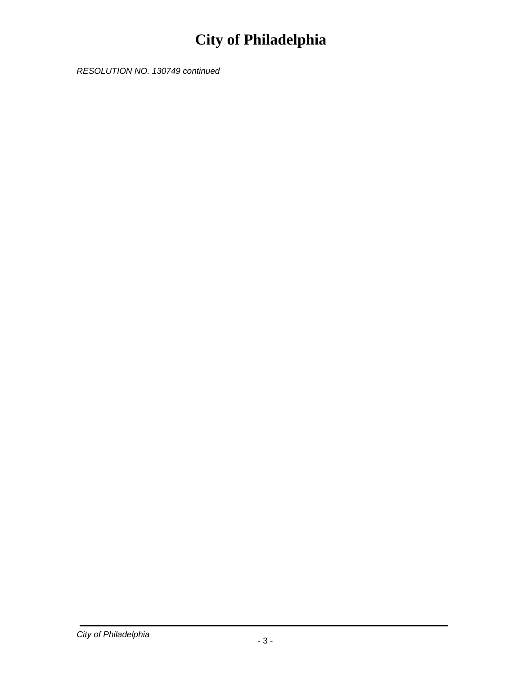*RESOLUTION NO. 130749 continued*